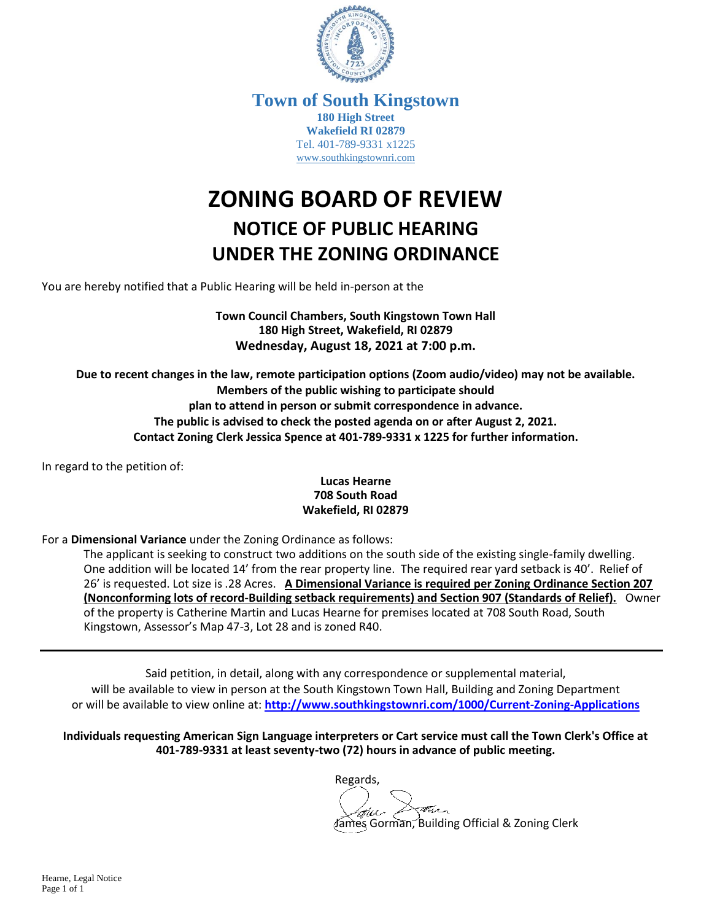

**Town of South Kingstown 180 High Street Wakefield RI 02879** Tel. 401-789-9331 x1225 [www.southkingstownri.com](http://www.southkingstownri.com/)

## **ZONING BOARD OF REVIEW NOTICE OF PUBLIC HEARING UNDER THE ZONING ORDINANCE**

You are hereby notified that a Public Hearing will be held in-person at the

**Town Council Chambers, South Kingstown Town Hall 180 High Street, Wakefield, RI 02879 Wednesday, August 18, 2021 at 7:00 p.m.**

**Due to recent changes in the law, remote participation options (Zoom audio/video) may not be available. Members of the public wishing to participate should plan to attend in person or submit correspondence in advance. The public is advised to check the posted agenda on or after August 2, 2021. Contact Zoning Clerk Jessica Spence at 401-789-9331 x 1225 for further information.**

In regard to the petition of:

## **Lucas Hearne 708 South Road Wakefield, RI 02879**

For a **Dimensional Variance** under the Zoning Ordinance as follows:

The applicant is seeking to construct two additions on the south side of the existing single-family dwelling. One addition will be located 14' from the rear property line. The required rear yard setback is 40'. Relief of 26' is requested. Lot size is .28 Acres. **A Dimensional Variance is required per Zoning Ordinance Section 207 (Nonconforming lots of record-Building setback requirements) and Section 907 (Standards of Relief).** Owner of the property is Catherine Martin and Lucas Hearne for premises located at 708 South Road, South Kingstown, Assessor's Map 47-3, Lot 28 and is zoned R40.

Said petition, in detail, along with any correspondence or supplemental material, will be available to view in person at the South Kingstown Town Hall, Building and Zoning Department or will be available to view online at: **<http://www.southkingstownri.com/1000/Current-Zoning-Applications>**

**Individuals requesting American Sign Language interpreters or Cart service must call the Town Clerk's Office at 401-789-9331 at least seventy-two (72) hours in advance of public meeting.**

> Regards, Gorman, Building Official & Zoning Clerk